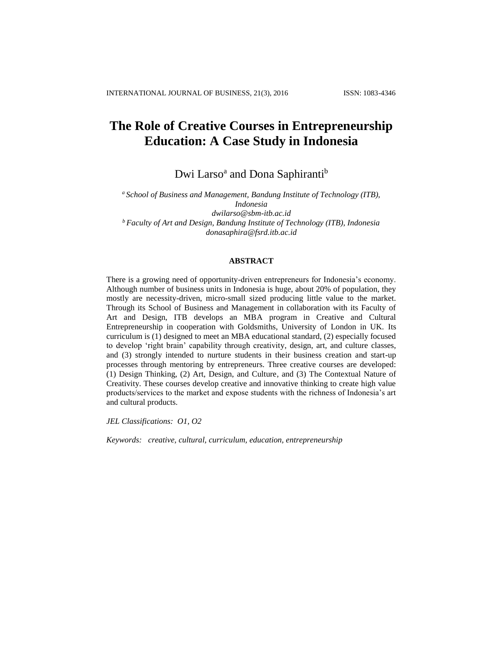# **The Role of Creative Courses in Entrepreneurship Education: A Case Study in Indonesia**

Dwi Larso<sup>a</sup> and Dona Saphiranti<sup>b</sup>

*<sup>a</sup> School of Business and Management, Bandung Institute of Technology (ITB), Indonesia [dwilarso@sbm-itb.ac.id](mailto:dwilarso@sbm-itb.ac.id) <sup>b</sup>Faculty of Art and Design, Bandung Institute of Technology (ITB), Indonesia donasaphira@fsrd.itb.ac.id*

#### **ABSTRACT**

There is a growing need of opportunity-driven entrepreneurs for Indonesia's economy. Although number of business units in Indonesia is huge, about 20% of population, they mostly are necessity-driven, micro-small sized producing little value to the market. Through its School of Business and Management in collaboration with its Faculty of Art and Design, ITB develops an MBA program in Creative and Cultural Entrepreneurship in cooperation with Goldsmiths, University of London in UK. Its curriculum is (1) designed to meet an MBA educational standard, (2) especially focused to develop 'right brain' capability through creativity, design, art, and culture classes, and (3) strongly intended to nurture students in their business creation and start-up processes through mentoring by entrepreneurs. Three creative courses are developed: (1) Design Thinking, (2) Art, Design, and Culture, and (3) The Contextual Nature of Creativity. These courses develop creative and innovative thinking to create high value products/services to the market and expose students with the richness of Indonesia's art and cultural products.

*JEL Classifications: O1, O2*

*Keywords: creative, cultural, curriculum, education, entrepreneurship*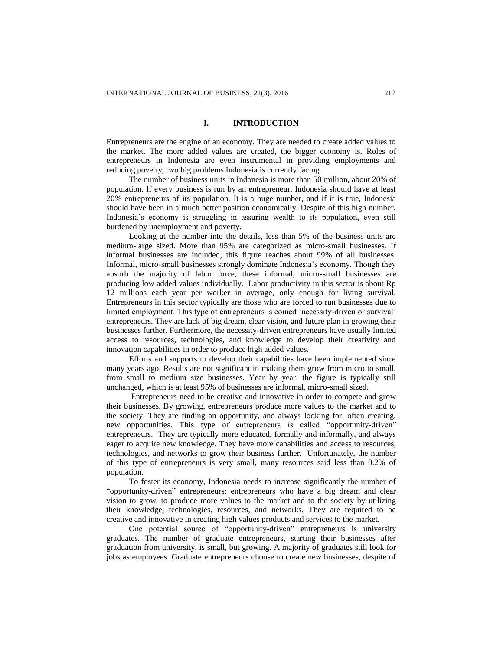# **I. INTRODUCTION**

Entrepreneurs are the engine of an economy. They are needed to create added values to the market. The more added values are created, the bigger economy is. Roles of entrepreneurs in Indonesia are even instrumental in providing employments and reducing poverty, two big problems Indonesia is currently facing.

The number of business units in Indonesia is more than 50 million, about 20% of population. If every business is run by an entrepreneur, Indonesia should have at least 20% entrepreneurs of its population. It is a huge number, and if it is true, Indonesia should have been in a much better position economically. Despite of this high number, Indonesia's economy is struggling in assuring wealth to its population, even still burdened by unemployment and poverty.

Looking at the number into the details, less than 5% of the business units are medium-large sized. More than 95% are categorized as micro-small businesses. If informal businesses are included, this figure reaches about 99% of all businesses. Informal, micro-small businesses strongly dominate Indonesia's economy. Though they absorb the majority of labor force, these informal, micro-small businesses are producing low added values individually. Labor productivity in this sector is about Rp 12 millions each year per worker in average, only enough for living survival. Entrepreneurs in this sector typically are those who are forced to run businesses due to limited employment. This type of entrepreneurs is coined 'necessity-driven or survival' entrepreneurs. They are lack of big dream, clear vision, and future plan in growing their businesses further. Furthermore, the necessity-driven entrepreneurs have usually limited access to resources, technologies, and knowledge to develop their creativity and innovation capabilities in order to produce high added values.

Efforts and supports to develop their capabilities have been implemented since many years ago. Results are not significant in making them grow from micro to small, from small to medium size businesses. Year by year, the figure is typically still unchanged, which is at least 95% of businesses are informal, micro-small sized.

Entrepreneurs need to be creative and innovative in order to compete and grow their businesses. By growing, entrepreneurs produce more values to the market and to the society. They are finding an opportunity, and always looking for, often creating, new opportunities. This type of entrepreneurs is called "opportunity-driven" entrepreneurs. They are typically more educated, formally and informally, and always eager to acquire new knowledge. They have more capabilities and access to resources, technologies, and networks to grow their business further. Unfortunately, the number of this type of entrepreneurs is very small, many resources said less than 0.2% of population.

To foster its economy, Indonesia needs to increase significantly the number of "opportunity-driven" entrepreneurs; entrepreneurs who have a big dream and clear vision to grow, to produce more values to the market and to the society by utilizing their knowledge, technologies, resources, and networks. They are required to be creative and innovative in creating high values products and services to the market.

One potential source of "opportunity-driven" entrepreneurs is university graduates. The number of graduate entrepreneurs, starting their businesses after graduation from university, is small, but growing. A majority of graduates still look for jobs as employees. Graduate entrepreneurs choose to create new businesses, despite of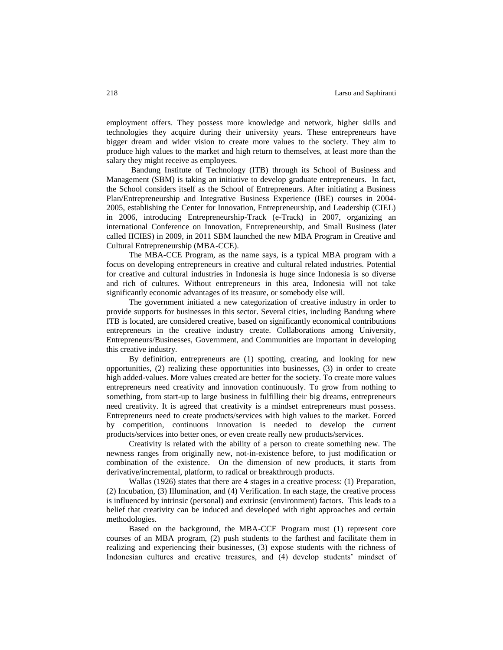employment offers. They possess more knowledge and network, higher skills and technologies they acquire during their university years. These entrepreneurs have bigger dream and wider vision to create more values to the society. They aim to produce high values to the market and high return to themselves, at least more than the salary they might receive as employees.

Bandung Institute of Technology (ITB) through its School of Business and Management (SBM) is taking an initiative to develop graduate entrepreneurs. In fact, the School considers itself as the School of Entrepreneurs. After initiating a Business Plan/Entrepreneurship and Integrative Business Experience (IBE) courses in 2004- 2005, establishing the Center for Innovation, Entrepreneurship, and Leadership (CIEL) in 2006, introducing Entrepreneurship-Track (e-Track) in 2007, organizing an international Conference on Innovation, Entrepreneurship, and Small Business (later called IICIES) in 2009, in 2011 SBM launched the new MBA Program in Creative and Cultural Entrepreneurship (MBA-CCE).

The MBA-CCE Program, as the name says, is a typical MBA program with a focus on developing entrepreneurs in creative and cultural related industries. Potential for creative and cultural industries in Indonesia is huge since Indonesia is so diverse and rich of cultures. Without entrepreneurs in this area, Indonesia will not take significantly economic advantages of its treasure, or somebody else will.

The government initiated a new categorization of creative industry in order to provide supports for businesses in this sector. Several cities, including Bandung where ITB is located, are considered creative, based on significantly economical contributions entrepreneurs in the creative industry create. Collaborations among University, Entrepreneurs/Businesses, Government, and Communities are important in developing this creative industry.

By definition, entrepreneurs are (1) spotting, creating, and looking for new opportunities, (2) realizing these opportunities into businesses, (3) in order to create high added-values. More values created are better for the society. To create more values entrepreneurs need creativity and innovation continuously. To grow from nothing to something, from start-up to large business in fulfilling their big dreams, entrepreneurs need creativity. It is agreed that creativity is a mindset entrepreneurs must possess. Entrepreneurs need to create products/services with high values to the market. Forced by competition, continuous innovation is needed to develop the current products/services into better ones, or even create really new products/services.

Creativity is related with the ability of a person to create something new. The newness ranges from originally new, not-in-existence before, to just modification or combination of the existence. On the dimension of new products, it starts from derivative/incremental, platform, to radical or breakthrough products.

Wallas (1926) states that there are 4 stages in a creative process: (1) Preparation, (2) Incubation, (3) Illumination, and (4) Verification. In each stage, the creative process is influenced by intrinsic (personal) and extrinsic (environment) factors. This leads to a belief that creativity can be induced and developed with right approaches and certain methodologies.

Based on the background, the MBA-CCE Program must (1) represent core courses of an MBA program, (2) push students to the farthest and facilitate them in realizing and experiencing their businesses, (3) expose students with the richness of Indonesian cultures and creative treasures, and (4) develop students' mindset of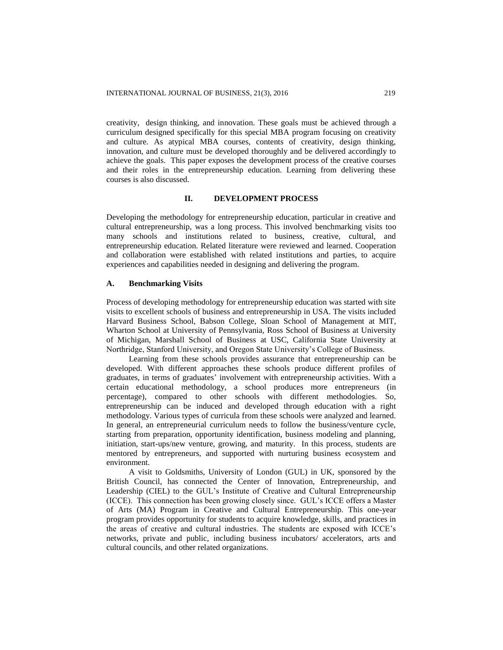creativity, design thinking, and innovation. These goals must be achieved through a curriculum designed specifically for this special MBA program focusing on creativity and culture. As atypical MBA courses, contents of creativity, design thinking, innovation, and culture must be developed thoroughly and be delivered accordingly to achieve the goals. This paper exposes the development process of the creative courses and their roles in the entrepreneurship education. Learning from delivering these courses is also discussed.

# **II. DEVELOPMENT PROCESS**

Developing the methodology for entrepreneurship education, particular in creative and cultural entrepreneurship, was a long process. This involved benchmarking visits too many schools and institutions related to business, creative, cultural, and entrepreneurship education. Related literature were reviewed and learned. Cooperation and collaboration were established with related institutions and parties, to acquire experiences and capabilities needed in designing and delivering the program.

## **A. Benchmarking Visits**

Process of developing methodology for entrepreneurship education was started with site visits to excellent schools of business and entrepreneurship in USA. The visits included Harvard Business School, Babson College, Sloan School of Management at MIT, Wharton School at University of Pennsylvania, Ross School of Business at University of Michigan, Marshall School of Business at USC, California State University at Northridge, Stanford University, and Oregon State University's College of Business.

Learning from these schools provides assurance that entrepreneurship can be developed. With different approaches these schools produce different profiles of graduates, in terms of graduates' involvement with entrepreneurship activities. With a certain educational methodology, a school produces more entrepreneurs (in percentage), compared to other schools with different methodologies. So, entrepreneurship can be induced and developed through education with a right methodology. Various types of curricula from these schools were analyzed and learned. In general, an entrepreneurial curriculum needs to follow the business/venture cycle, starting from preparation, opportunity identification, business modeling and planning, initiation, start-ups/new venture, growing, and maturity. In this process, students are mentored by entrepreneurs, and supported with nurturing business ecosystem and environment.

A visit to Goldsmiths, University of London (GUL) in UK, sponsored by the British Council, has connected the Center of Innovation, Entrepreneurship, and Leadership (CIEL) to the GUL's Institute of Creative and Cultural Entrepreneurship (ICCE). This connection has been growing closely since. GUL's ICCE offers a Master of Arts (MA) Program in Creative and Cultural Entrepreneurship. This one-year program provides opportunity for students to acquire knowledge, skills, and practices in the areas of creative and cultural industries. The students are exposed with ICCE's networks, private and public, including business incubators/ accelerators, arts and cultural councils, and other related organizations.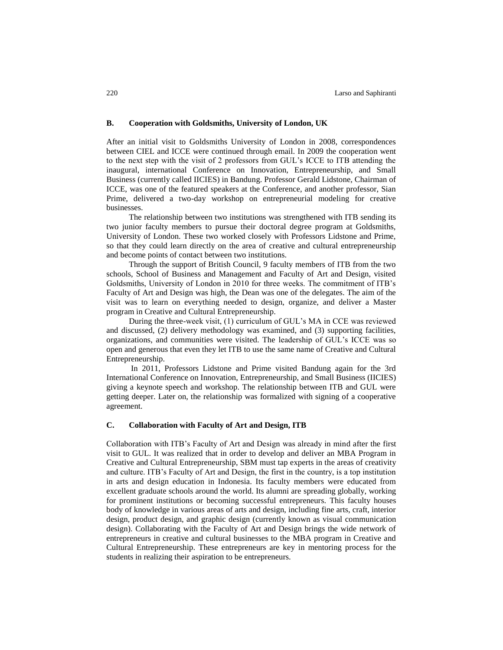#### **B. Cooperation with Goldsmiths, University of London, UK**

After an initial visit to Goldsmiths University of London in 2008, correspondences between CIEL and ICCE were continued through email. In 2009 the cooperation went to the next step with the visit of 2 professors from GUL's ICCE to ITB attending the inaugural, international Conference on Innovation, Entrepreneurship, and Small Business (currently called IICIES) in Bandung. Professor Gerald Lidstone, Chairman of ICCE, was one of the featured speakers at the Conference, and another professor, Sian Prime, delivered a two-day workshop on entrepreneurial modeling for creative businesses.

The relationship between two institutions was strengthened with ITB sending its two junior faculty members to pursue their doctoral degree program at Goldsmiths, University of London. These two worked closely with Professors Lidstone and Prime, so that they could learn directly on the area of creative and cultural entrepreneurship and become points of contact between two institutions.

Through the support of British Council, 9 faculty members of ITB from the two schools, School of Business and Management and Faculty of Art and Design, visited Goldsmiths, University of London in 2010 for three weeks. The commitment of ITB's Faculty of Art and Design was high, the Dean was one of the delegates. The aim of the visit was to learn on everything needed to design, organize, and deliver a Master program in Creative and Cultural Entrepreneurship.

During the three-week visit, (1) curriculum of GUL's MA in CCE was reviewed and discussed, (2) delivery methodology was examined, and (3) supporting facilities, organizations, and communities were visited. The leadership of GUL's ICCE was so open and generous that even they let ITB to use the same name of Creative and Cultural Entrepreneurship.

In 2011, Professors Lidstone and Prime visited Bandung again for the 3rd International Conference on Innovation, Entrepreneurship, and Small Business (IICIES) giving a keynote speech and workshop. The relationship between ITB and GUL were getting deeper. Later on, the relationship was formalized with signing of a cooperative agreement.

## **C. Collaboration with Faculty of Art and Design, ITB**

Collaboration with ITB's Faculty of Art and Design was already in mind after the first visit to GUL. It was realized that in order to develop and deliver an MBA Program in Creative and Cultural Entrepreneurship, SBM must tap experts in the areas of creativity and culture. ITB's Faculty of Art and Design, the first in the country, is a top institution in arts and design education in Indonesia. Its faculty members were educated from excellent graduate schools around the world. Its alumni are spreading globally, working for prominent institutions or becoming successful entrepreneurs. This faculty houses body of knowledge in various areas of arts and design, including fine arts, craft, interior design, product design, and graphic design (currently known as visual communication design). Collaborating with the Faculty of Art and Design brings the wide network of entrepreneurs in creative and cultural businesses to the MBA program in Creative and Cultural Entrepreneurship. These entrepreneurs are key in mentoring process for the students in realizing their aspiration to be entrepreneurs.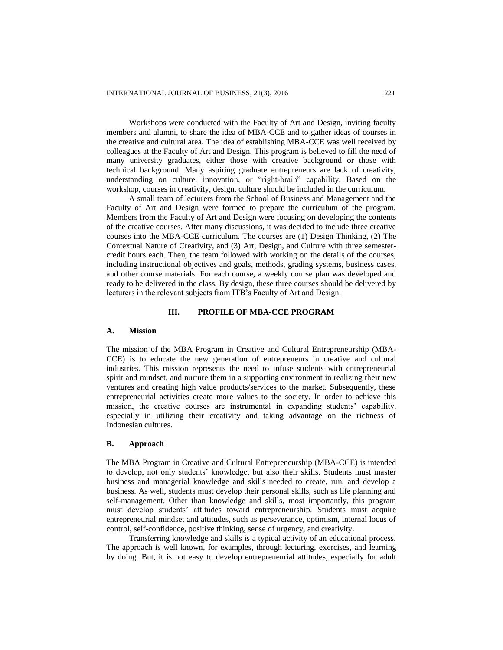Workshops were conducted with the Faculty of Art and Design, inviting faculty members and alumni, to share the idea of MBA-CCE and to gather ideas of courses in the creative and cultural area. The idea of establishing MBA-CCE was well received by colleagues at the Faculty of Art and Design. This program is believed to fill the need of many university graduates, either those with creative background or those with technical background. Many aspiring graduate entrepreneurs are lack of creativity, understanding on culture, innovation, or "right-brain" capability. Based on the workshop, courses in creativity, design, culture should be included in the curriculum.

A small team of lecturers from the School of Business and Management and the Faculty of Art and Design were formed to prepare the curriculum of the program. Members from the Faculty of Art and Design were focusing on developing the contents of the creative courses. After many discussions, it was decided to include three creative courses into the MBA-CCE curriculum. The courses are (1) Design Thinking, (2) The Contextual Nature of Creativity, and (3) Art, Design, and Culture with three semestercredit hours each. Then, the team followed with working on the details of the courses, including instructional objectives and goals, methods, grading systems, business cases, and other course materials. For each course, a weekly course plan was developed and ready to be delivered in the class. By design, these three courses should be delivered by lecturers in the relevant subjects from ITB's Faculty of Art and Design.

## **III. PROFILE OF MBA-CCE PROGRAM**

#### **A. Mission**

The mission of the MBA Program in Creative and Cultural Entrepreneurship (MBA-CCE) is to educate the new generation of entrepreneurs in creative and cultural industries. This mission represents the need to infuse students with entrepreneurial spirit and mindset, and nurture them in a supporting environment in realizing their new ventures and creating high value products/services to the market. Subsequently, these entrepreneurial activities create more values to the society. In order to achieve this mission, the creative courses are instrumental in expanding students' capability, especially in utilizing their creativity and taking advantage on the richness of Indonesian cultures.

## **B. Approach**

The MBA Program in Creative and Cultural Entrepreneurship (MBA-CCE) is intended to develop, not only students' knowledge, but also their skills. Students must master business and managerial knowledge and skills needed to create, run, and develop a business. As well, students must develop their personal skills, such as life planning and self-management. Other than knowledge and skills, most importantly, this program must develop students' attitudes toward entrepreneurship. Students must acquire entrepreneurial mindset and attitudes, such as perseverance, optimism, internal locus of control, self-confidence, positive thinking, sense of urgency, and creativity.

Transferring knowledge and skills is a typical activity of an educational process. The approach is well known, for examples, through lecturing, exercises, and learning by doing. But, it is not easy to develop entrepreneurial attitudes, especially for adult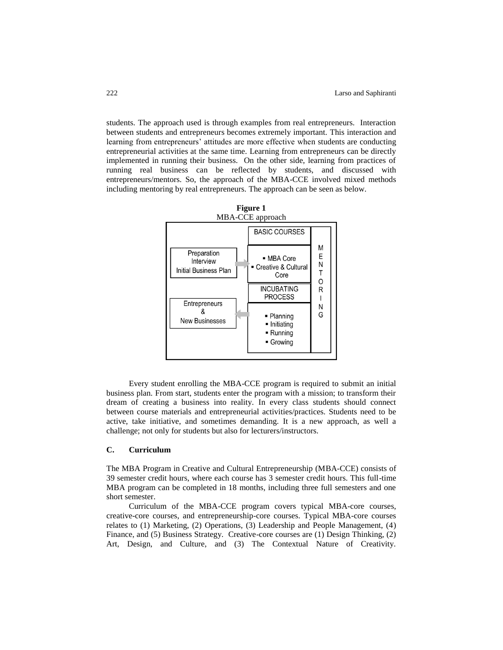students. The approach used is through examples from real entrepreneurs. Interaction between students and entrepreneurs becomes extremely important. This interaction and learning from entrepreneurs' attitudes are more effective when students are conducting entrepreneurial activities at the same time. Learning from entrepreneurs can be directly implemented in running their business. On the other side, learning from practices of running real business can be reflected by students, and discussed with entrepreneurs/mentors. So, the approach of the MBA-CCE involved mixed methods including mentoring by real entrepreneurs. The approach can be seen as below.



Every student enrolling the MBA-CCE program is required to submit an initial business plan. From start, students enter the program with a mission; to transform their dream of creating a business into reality. In every class students should connect between course materials and entrepreneurial activities/practices. Students need to be active, take initiative, and sometimes demanding. It is a new approach, as well a challenge; not only for students but also for lecturers/instructors.

# **C. Curriculum**

The MBA Program in Creative and Cultural Entrepreneurship (MBA-CCE) consists of 39 semester credit hours, where each course has 3 semester credit hours. This full-time MBA program can be completed in 18 months, including three full semesters and one short semester.

Curriculum of the MBA-CCE program covers typical MBA-core courses, creative-core courses, and entrepreneurship-core courses. Typical MBA-core courses relates to (1) Marketing, (2) Operations, (3) Leadership and People Management, (4) Finance, and (5) Business Strategy. Creative-core courses are (1) Design Thinking, (2) Art, Design, and Culture, and (3) The Contextual Nature of Creativity.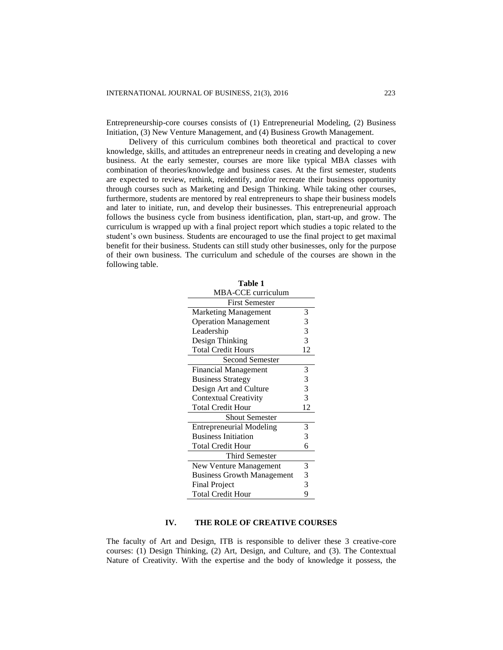Entrepreneurship-core courses consists of (1) Entrepreneurial Modeling, (2) Business Initiation, (3) New Venture Management, and (4) Business Growth Management.

Delivery of this curriculum combines both theoretical and practical to cover knowledge, skills, and attitudes an entrepreneur needs in creating and developing a new business. At the early semester, courses are more like typical MBA classes with combination of theories/knowledge and business cases. At the first semester, students are expected to review, rethink, reidentify, and/or recreate their business opportunity through courses such as Marketing and Design Thinking. While taking other courses, furthermore, students are mentored by real entrepreneurs to shape their business models and later to initiate, run, and develop their businesses. This entrepreneurial approach follows the business cycle from business identification, plan, start-up, and grow. The curriculum is wrapped up with a final project report which studies a topic related to the student's own business. Students are encouraged to use the final project to get maximal benefit for their business. Students can still study other businesses, only for the purpose of their own business. The curriculum and schedule of the courses are shown in the following table.

| Table 1                           |    |
|-----------------------------------|----|
| MBA-CCE curriculum                |    |
| <b>First Semester</b>             |    |
| <b>Marketing Management</b>       | 3  |
| <b>Operation Management</b>       | 3  |
| Leadership                        | 3  |
| Design Thinking                   | 3  |
| <b>Total Credit Hours</b>         | 12 |
| <b>Second Semester</b>            |    |
| Financial Management              | 3  |
| <b>Business Strategy</b>          | 3  |
| Design Art and Culture            | 3  |
| <b>Contextual Creativity</b>      | 3  |
| <b>Total Credit Hour</b>          | 12 |
| <b>Shout Semester</b>             |    |
| <b>Entrepreneurial Modeling</b>   | 3  |
| <b>Business Initiation</b>        | 3  |
| <b>Total Credit Hour</b>          | 6  |
| Third Semester                    |    |
| New Venture Management            | 3  |
| <b>Business Growth Management</b> | 3  |
| <b>Final Project</b>              | 3  |
| <b>Total Credit Hour</b>          | 9  |

## **IV. THE ROLE OF CREATIVE COURSES**

The faculty of Art and Design, ITB is responsible to deliver these 3 creative-core courses: (1) Design Thinking, (2) Art, Design, and Culture, and (3). The Contextual Nature of Creativity. With the expertise and the body of knowledge it possess, the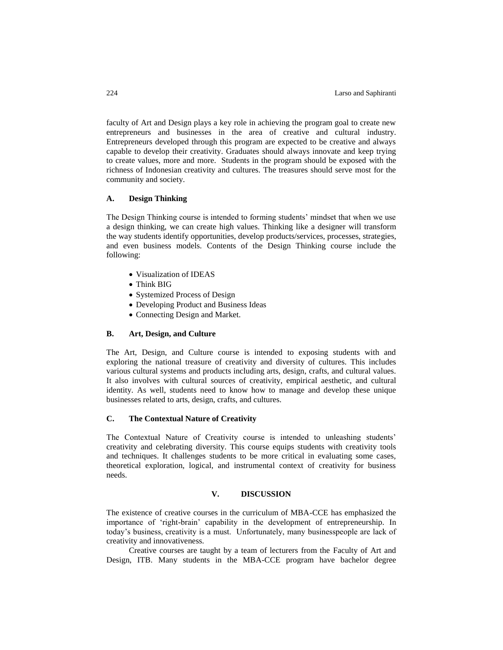faculty of Art and Design plays a key role in achieving the program goal to create new entrepreneurs and businesses in the area of creative and cultural industry. Entrepreneurs developed through this program are expected to be creative and always capable to develop their creativity. Graduates should always innovate and keep trying to create values, more and more. Students in the program should be exposed with the richness of Indonesian creativity and cultures. The treasures should serve most for the community and society.

# **A. Design Thinking**

The Design Thinking course is intended to forming students' mindset that when we use a design thinking, we can create high values. Thinking like a designer will transform the way students identify opportunities, develop products/services, processes, strategies, and even business models. Contents of the Design Thinking course include the following:

- Visualization of IDEAS
- Think BIG
- Systemized Process of Design
- Developing Product and Business Ideas
- Connecting Design and Market.

# **B. Art, Design, and Culture**

The Art, Design, and Culture course is intended to exposing students with and exploring the national treasure of creativity and diversity of cultures. This includes various cultural systems and products including arts, design, crafts, and cultural values. It also involves with cultural sources of creativity, empirical aesthetic, and cultural identity. As well, students need to know how to manage and develop these unique businesses related to arts, design, crafts, and cultures.

## **C. The Contextual Nature of Creativity**

The Contextual Nature of Creativity course is intended to unleashing students' creativity and celebrating diversity. This course equips students with creativity tools and techniques. It challenges students to be more critical in evaluating some cases, theoretical exploration, logical, and instrumental context of creativity for business needs.

#### **V. DISCUSSION**

The existence of creative courses in the curriculum of MBA-CCE has emphasized the importance of 'right-brain' capability in the development of entrepreneurship. In today's business, creativity is a must. Unfortunately, many businesspeople are lack of creativity and innovativeness.

Creative courses are taught by a team of lecturers from the Faculty of Art and Design, ITB. Many students in the MBA-CCE program have bachelor degree